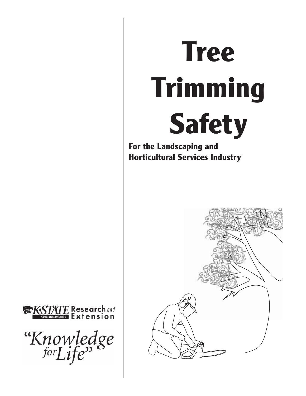# **Tree Trimming Safety**

**For the Landscaping and Horticultural Services Industry**





"Knowledge"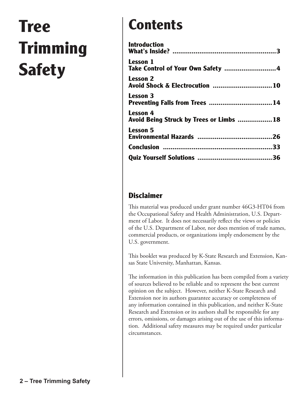## **Tree Trimming Safety**

## **Contents**

| <b>Introduction</b>                                        |  |
|------------------------------------------------------------|--|
| <b>Lesson 1</b>                                            |  |
| <b>Lesson 2</b><br>Avoid Shock & Electrocution 10          |  |
| <b>Lesson 3</b><br>Preventing Falls from Trees 14          |  |
| <b>Lesson</b> 4<br>Avoid Being Struck by Trees or Limbs 18 |  |
| <b>Lesson 5</b>                                            |  |
|                                                            |  |
|                                                            |  |

### **Disclaimer**

This material was produced under grant number 46G3-HT04 from the Occupational Safety and Health Administration, U.S. Department of Labor. It does not necessarily reflect the views or policies of the U.S. Department of Labor, nor does mention of trade names, commercial products, or organizations imply endorsement by the U.S. government.

This booklet was produced by K-State Research and Extension, Kansas State University, Manhattan, Kansas.

The information in this publication has been compiled from a variety of sources believed to be reliable and to represent the best current opinion on the subject. However, neither K-State Research and Extension nor its authors guarantee accuracy or completeness of any information contained in this publication, and neither K-State Research and Extension or its authors shall be responsible for any errors, omissions, or damages arising out of the use of this information. Additional safety measures may be required under particular circumstances.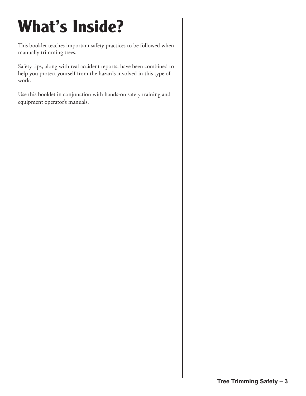## **What's Inside?**

This booklet teaches important safety practices to be followed when manually trimming trees.

Safety tips, along with real accident reports, have been combined to help you protect yourself from the hazards involved in this type of work.

Use this booklet in conjunction with hands-on safety training and equipment operator's manuals.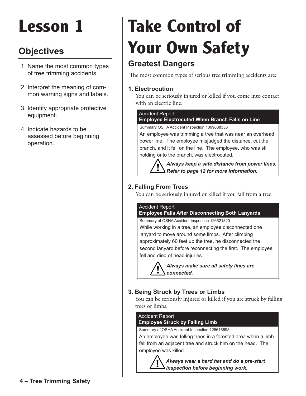## **Objectives**

- 1. Name the most common types of tree trimming accidents.
- 2. Interpret the meaning of common warning signs and labels.
- 3. Identify appropriate protective equipment.
- 4. Indicate hazards to be assessed before beginning operation.

## **Take Control of Your Own Safety**

## **Greatest Dangers**

The most common types of serious tree trimming accidents are:

#### **1. Electrocution**

 You can be seriously injured or killed if you come into contact with an electric line.

#### Accident Report

#### **Employee Electrocuted When Branch Falls on Line**

Summary OSHA Accident Inspection 1099688358

An employee was trimming a tree that was near an overhead power line. The employee misjudged the distance, cut the branch, and it fell on the line. The employee, who was still holding onto the branch, was electrocuted.

> *Always keep a safe distance from power lines. Refer to page 12 for more information.*

#### **2. Falling From Trees**

You can be seriously injured or killed if you fall from a tree.

#### Accident Report

#### **Employee Falls After Disconnecting Both Lanyards**

Summary of OSHA Accident Inspection 126621820 While working in a tree, an employee disconnected one lanyard to move around some limbs. After climbing approximately 60 feet up the tree, he disconnected the second lanyard before reconnecting the first. The employee fell and died of head injuries.

> *Always make sure all safety lines are connected.*

#### **3. Being Struck by Trees or Limbs**

You can be seriously injured or killed if you are struck by falling trees or limbs.

#### Summary of OSHA Accident Inspection 125616698 Accident Report **Employee Struck by Falling Limb**

An employee was felling trees in a forested area when a limb fell from an adjacent tree and struck him on the head. The employee was killed.

> *Always wear a hard hat and do a pre-start inspection before beginning work.*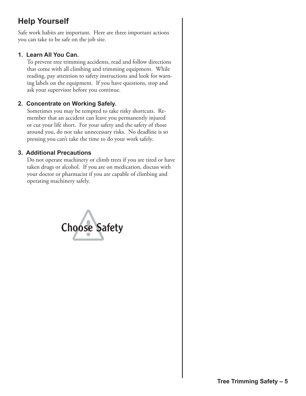## **Help Yourself**

Safe work habits are important. Here are three important actions you can take to be safe on the job site.

#### **1. Learn All You Can.**

To prevent tree trimming accidents, read and follow directions that come with all climbing and trimming equipment. While reading, pay attention to safety instructions and look for warning labels on the equipment. If you have questions, stop and ask your supervisor before you continue.

#### **2. Concentrate on Working Safely.**

Sometimes you may be tempted to take risky shortcuts. Remember that an accident can leave you permanently injured or cut your life short. For your safety and the safety of those around you, do not take unnecessary risks. No deadline is so pressing you can't take the time to do your work safely.

#### **3. Additional Precautions**

Do not operate machinery or climb trees if you are tired or have taken drugs or alcohol. If you are on medication, discuss with your doctor or pharmacist if you are capable of climbing and operating machinery safely.

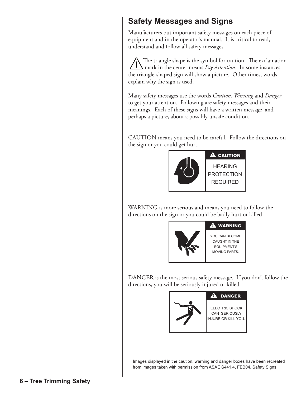## **Safety Messages and Signs**

Manufacturers put important safety messages on each piece of equipment and in the operator's manual. It is critical to read, understand and follow all safety messages.

 The triangle shape is the symbol for caution. The exclamation mark in the center means *Pay Attention*. In some instances, the triangle-shaped sign will show a picture. Other times, words explain why the sign is used.

Many safety messages use the words *Caution*, *Warning* and *Danger* to get your attention. Following are safety messages and their meanings. Each of these signs will have a written message, and perhaps a picture, about a possibly unsafe condition.

CAUTION means you need to be careful. Follow the directions on the sign or you could get hurt.



WARNING is more serious and means you need to follow the directions on the sign or you could be badly hurt or killed.



DANGER is the most serious safety message. If you don't follow the directions, you will be seriously injured or killed.



Images displayed in the caution, warning and danger boxes have been recreated from images taken with permission from ASAE S441.4, FEB04, Safety Signs.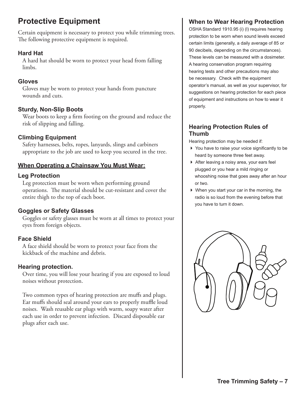## **Protective Equipment**

Certain equipment is necessary to protect you while trimming trees. The following protective equipment is required.

#### **Hard Hat**

A hard hat should be worn to protect your head from falling limbs.

#### **Gloves**

Gloves may be worn to protect your hands from puncture wounds and cuts.

#### **Sturdy, Non-Slip Boots**

Wear boots to keep a firm footing on the ground and reduce the risk of slipping and falling.

#### **Climbing Equipment**

Safety harnesses, belts, ropes, lanyards, slings and carbiners appropriate to the job are used to keep you secured in the tree.

#### **When Operating a Chainsaw You Must Wear:**

#### **Leg Protection**

Leg protection must be worn when performing ground operations. The material should be cut-resistant and cover the entire thigh to the top of each boot.

#### **Goggles or Safety Glasses**

Goggles or safety glasses must be worn at all times to protect your eyes from foreign objects.

#### **Face Shield**

A face shield should be worn to protect your face from the kickback of the machine and debris.

#### **Hearing protection.**

Over time, you will lose your hearing if you are exposed to loud noises without protection.

Two common types of hearing protection are muffs and plugs. Ear muffs should seal around your ears to properly muffle loud noises. Wash reusable ear plugs with warm, soapy water after each use in order to prevent infection. Discard disposable ear plugs after each use.

### **When to Wear Hearing Protection**

OSHA Standard 1910.95 (i) (l) requires hearing protection to be worn when sound levels exceed certain limits (generally, a daily average of 85 or 90 decibels, depending on the circumstances). These levels can be measured with a dosimeter. A hearing conservation program requiring hearing tests and other precautions may also be necessary. Check with the equipment operator's manual, as well as your supervisor, for suggestions on hearing protection for each piece of equipment and instructions on how to wear it properly.

#### **Hearing Protection Rules of Thumb**

Hearing protection may be needed if:

- ▶ You have to raise your voice significantly to be heard by someone three feet away.
- 4 After leaving a noisy area, your ears feel plugged or you hear a mild ringing or whooshing noise that goes away after an hour or two.
- $\blacktriangleright$  When you start your car in the morning, the radio is so loud from the evening before that you have to turn it down.

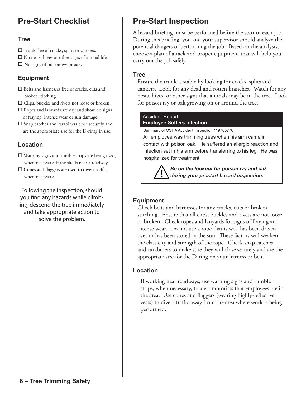### **Pre-Start Checklist**

#### **Tree**

 $\Box$  Trunk free of cracks, splits or cankers.

- $\square$  No nests, hives or other signs of animal life.
- $\Box$  No signs of poison ivy or oak.

#### **Equipment**

- $\square$  Belts and harnesses free of cracks, cuts and broken stitching.
- $\Box$  Clips, buckles and rivets not loose or broken.
- $\square$  Ropes and lanyards are dry and show no signs of fraying, intense wear or sun damage.
- $\square$  Snap catches and carabiners close securely and are the appropriate size for the D-rings in use.

#### **Location**

 $\square$  Warning signs and rumble strips are being used, when necessary, if the site is near a roadway.

 $\square$  Cones and flaggers are used to divert traffic, when necessary.

Following the inspection, should you find any hazards while climbing, descend the tree immediately and take appropriate action to solve the problem.

## **Pre-Start Inspection**

A hazard briefing must be performed before the start of each job. During this briefing, you and your supervisor should analyze the potential dangers of performing the job. Based on the analysis, choose a plan of attack and proper equipment that will help you carry out the job safely.

#### **Tree**

Ensure the trunk is stable by looking for cracks, splits and cankers. Look for any dead and rotten branches. Watch for any nests, hives, or other signs that animals may be in the tree. Look for poison ivy or oak growing on or around the tree.

#### Accident Report **Employee Suffers Infection**

Summary of OSHA Accident Inspection 119705770

An employee was trimming trees when his arm came in contact with poison oak. He suffered an allergic reaction and infection set in his arm before transferring to his leg. He was hospitalized for treatment.

> *Be on the lookout for poison ivy and oak during your prestart hazard inspection.*

#### **Equipment**

Check belts and harnesses for any cracks, cuts or broken stitching. Ensure that all clips, buckles and rivets are not loose or broken. Check ropes and lanyards for signs of fraying and intense wear. Do not use a rope that is wet, has been driven over or has been stored in the sun. These factors will weaken the elasticity and strength of the rope. Check snap catches and carabiners to make sure they will close securely and are the appropriate size for the D-ring on your harness or belt.

#### **Location**

 If working near roadways, use warning signs and rumble strips, when necessary, to alert motorists that employees are in the area. Use cones and flaggers (wearing highly-reflective vests) to divert traffic away from the area where work is being performed.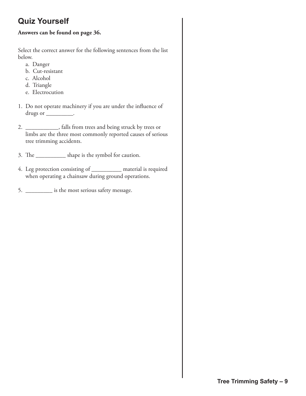## **Quiz Yourself**

#### **Answers can be found on page 36.**

Select the correct answer for the following sentences from the list below.

- a. Danger
- b. Cut-resistant
- c. Alcohol
- d. Triangle
- e. Electrocution
- 1. Do not operate machinery if you are under the influence of drugs or \_\_\_\_\_\_\_\_\_\_.
- 2. \_\_\_\_\_\_\_\_\_\_\_, falls from trees and being struck by trees or limbs are the three most commonly reported causes of serious tree trimming accidents.
- 3. The \_\_\_\_\_\_\_\_\_\_ shape is the symbol for caution.
- 4. Leg protection consisting of \_\_\_\_\_\_\_\_\_\_ material is required when operating a chainsaw during ground operations.
- 5. \_\_\_\_\_\_\_\_\_ is the most serious safety message.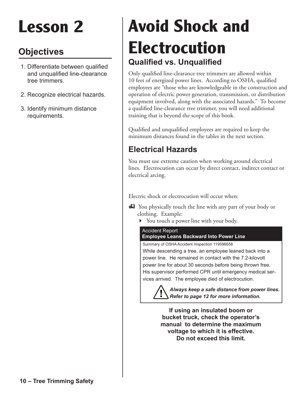## **Objectives**

- 1. Differentiate between qualified and unqualified line-clearance tree trimmers.
- 2. Recognize electrical hazards.
- 3. Identify minimum distance requirements.

## **Qualified vs. Unqualified Avoid Shock and Electrocution**

Only qualified line-clearance tree trimmers are allowed within 10 feet of energized power lines. According to OSHA, qualified employees are "those who are knowledgeable in the construction and operation of electric power generation, transmission, or distribution equipment involved, along with the associated hazards." To become a qualified line-clearance tree trimmer, you will need additional training that is beyond the scope of this book.

Qualified and unqualified employees are required to keep the minimum distances found in the tables in the next section.

## **Electrical Hazards**

You must use extreme caution when working around electrical lines. Electrocution can occur by direct contact, indirect contact or electrical arcing.

Electric shock or electrocution will occur when:

- **EF** You physically touch the line with any part of your body or clothing. Example:
	- 4 You touch a power line with your body.

#### Accident Report **Employee Leans Backward Into Power Line**

Summary of OSHA Accident Inspection 119596658

While descending a tree, an employee leaned back into a power line. He remained in contact with the 7.2-kilovolt power line for about 30 seconds before being thrown free. His supervisor performed CPR until emergency medical services arrived. The employee died of electrocution.

> *Always keep a safe distance from power lines. Refer to page 12 for more information.*

**If using an insulated boom or bucket truck, check the operator's manual to determine the maximum voltage to which it is effective. Do not exceed this limit.**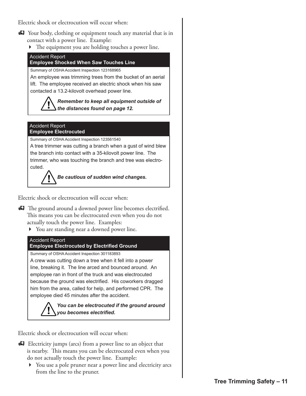Electric shock or electrocution will occur when:

- K Your body, clothing or equipment touch any material that is in contact with a power line. Example:
	- 4 The equipment you are holding touches a power line.



*Be cautious of sudden wind changes.*

Electric shock or electrocution will occur when:

- **h** The ground around a downed power line becomes electrified. This means you can be electrocuted even when you do not actually touch the power line. Examples:
	- 4 You are standing near a downed power line.

#### Accident Report

Summary of OSHA Accident Inspection 301183893 A crew was cutting down a tree when it fell into a power line, breaking it. The line arced and bounced around. An employee ran in front of the truck and was electrocuted because the ground was electrified. His coworkers dragged him from the area, called for help, and performed CPR. The employee died 45 minutes after the accident. **Employee Electrocuted by Electrified Ground**

#### *You can be electrocuted if the ground around you becomes electrified.*

Electric shock or electrocution will occur when:

- **Electricity jumps (arcs) from a power line to an object that**  is nearby. This means you can be electrocuted even when you do not actually touch the power line. Example:
	- 4 You use a pole pruner near a power line and electricity arcs from the line to the pruner.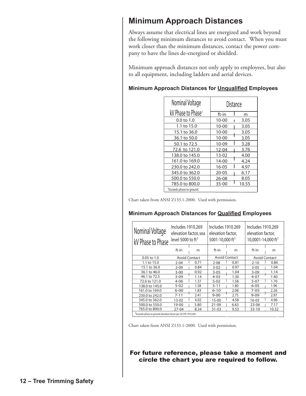### **Minimum Approach Distances**

Always assume that electrical lines are energized and work beyond the following minimum distances to avoid contact. When you must work closer than the minimum distances, contact the power company to have the lines de-energized or shielded.

Minimum approach distances not only apply to employees, but also to all equipment, including ladders and aerial devices.

| Nominal Voltage                       | Distance  |       |
|---------------------------------------|-----------|-------|
| kV Phase to Phase <sup>1</sup>        | ft-in     | m     |
| $0.0 \text{ to } 1.0$                 | $10 - 00$ | 3.05  |
| 1.1 to 15.0                           | $10 - 00$ | 3.05  |
| 15.1 to 36.0                          | $10 - 00$ | 3.05  |
| 36.1 to 50.0                          | $10 - 00$ | 3.05  |
| 50.1 to 72.5                          | 10-09     | 3.28  |
| 72.6 to 121.0                         | 12-04     | 3.76  |
| 138.0 to 145.0                        | $13 - 02$ | 4.00  |
| 161.0 to 169.0                        | 14-00     | 4.24  |
| 230.0 to 242.0                        | $16 - 05$ | 4.97  |
| 345.0 to 362.0                        | $20 - 05$ | 6.17  |
| 500.0 to 550.0                        | 26-08     | 8.05  |
| 785.0 to 800.0                        | 35-00     | 10.55 |
| <sup>1</sup> Exceeds phase to ground. |           |       |

#### Minimum Approach Distances for Unqualified Employees

Chart taken from ANSI Z133.1-2000. Used with permission.

#### Minimum Approach Distances for **Qualified Employees**

| Nominal Voltage<br>kV Phase to Phase                                        | Includes 1910.269<br>elevation factor, sea<br>level 5000 to $ft1$ |      | Includes 1910.269<br>elevation factor,<br>5001-10,000 ft <sup>1</sup> |                      | Includes 1910.269<br>elevation factor.<br>10,0001-14,000 ft <sup>1</sup> |                      |
|-----------------------------------------------------------------------------|-------------------------------------------------------------------|------|-----------------------------------------------------------------------|----------------------|--------------------------------------------------------------------------|----------------------|
|                                                                             | ft-in                                                             | m    | ft-in                                                                 | m                    | $ft-in$                                                                  | m                    |
| $0.05$ to $1.0$                                                             | <b>Avoid Contact</b>                                              |      |                                                                       | <b>Avoid Contact</b> |                                                                          | <b>Avoid Contact</b> |
| 1.1 to 15.0                                                                 | $2 - 04$                                                          | 0.71 | $2 - 08$                                                              | 0.81                 | $2 - 10$                                                                 | 0.86                 |
| 15.1 to 36.0                                                                | $2 - 09$                                                          | 0.84 | $3 - 02$                                                              | 0.97                 | $3 - 05$                                                                 | 1.04                 |
| 36.1 to 46.0                                                                | $3 - 00$                                                          | 0.92 | $3 - 05$                                                              | 1.04                 | $3 - 09$                                                                 | 1.14                 |
| 46.1 to 72.5                                                                | $3 - 09$                                                          | 1.14 | $4 - 03$                                                              | 1.30                 | $4 - 07$                                                                 | 1.40                 |
| 72.6 to 121.0                                                               | $4 - 06$                                                          | 1.37 | $5 - 02$                                                              | 1.58                 | $5 - 07$                                                                 | 1.70                 |
| 138.0 to 145.0                                                              | $5 - 02$                                                          | 1.58 | $5 - 11$                                                              | 1.80                 | $6 - 05$                                                                 | 1.96                 |
| 161.0 to 169.0                                                              | $6 - 00$                                                          | 1.83 | $6 - 10$                                                              | 2.08                 | $7 - 05$                                                                 | 2.26                 |
| 230.0 to 242.0                                                              | $7 - 11$                                                          | 2.41 | $9 - 00$                                                              | 2.75                 | $9 - 09$                                                                 | 2.97                 |
| 345.0 to 362.0                                                              | $13-02$                                                           | 4.02 | $15 - 00$                                                             | 4.58                 | $16 - 03$                                                                | 4.96                 |
| 500.0 to 550.0                                                              | 19-00                                                             | 5.80 | $21 - 09$                                                             | 6.63                 | $23 - 06$                                                                | 7.17                 |
| 765.0 to 800.0                                                              | 27-04                                                             | 8.34 | $31 - 03$                                                             | 9.53                 | $33 - 10$                                                                | 10.32                |
| <sup>1</sup> Exceeds phase to ground; elevation factor per 29 CFR 1910.269. |                                                                   |      |                                                                       |                      |                                                                          |                      |

Chart taken from ANSI Z133.1-2000. Used with permission.

For future reference, please take a moment and circle the chart you are required to follow.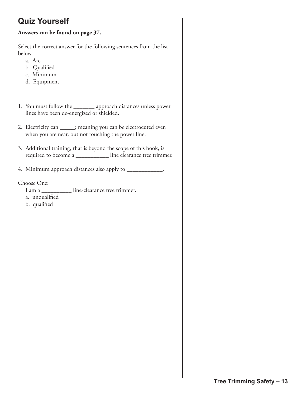## **Quiz Yourself**

#### **Answers can be found on page 37.**

Select the correct answer for the following sentences from the list below.

- a. Arc
- b. Qualified
- c. Minimum
- d. Equipment
- 1. You must follow the \_\_\_\_\_\_\_ approach distances unless power lines have been de-energized or shielded.
- 2. Electricity can \_\_\_\_\_; meaning you can be electrocuted even when you are near, but not touching the power line.
- 3. Additional training, that is beyond the scope of this book, is required to become a \_\_\_\_\_\_\_\_\_\_\_ line clearance tree trimmer.
- 4. Minimum approach distances also apply to \_\_\_\_\_\_\_\_\_\_\_\_.

Choose One:

- I am a  $\qquad$  line-clearance tree trimmer.
- a. unqualified
- b. qualified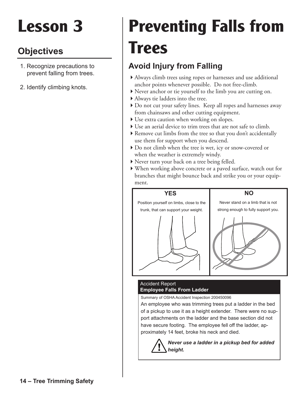## **Objectives**

- 1. Recognize precautions to prevent falling from trees.
- 2. Identify climbing knots.

## **Preventing Falls from Trees**

## **Avoid Injury from Falling**

- 4Always climb trees using ropes or harnesses and use additional anchor points whenever possible. Do not free-climb.
- 4Never anchor or tie yourself to the limb you are cutting on.
- 4Always tie ladders into the tree.
- Do not cut your safety lines. Keep all ropes and harnesses away from chainsaws and other cutting equipment.
- $\blacktriangleright$  Use extra caution when working on slopes.
- Use an aerial device to trim trees that are not safe to climb.
- $\blacktriangleright$  Remove cut limbs from the tree so that you don't accidentally use them for support when you descend.
- 4Do not climb when the tree is wet, icy or snow-covered or when the weather is extremely windy.
- ▶ Never turn your back on a tree being felled.
- 4When working above concrete or a paved surface, watch out for branches that might bounce back and strike you or your equip ment.



#### Accident Report **Employee Falls From Ladder**

Summary of OSHA Accident Inspection 200450096

An employee who was trimming trees put a ladder in the bed of a pickup to use it as a height extender. There were no support attachments on the ladder and the base section did not have secure footing. The employee fell off the ladder, approximately 14 feet, broke his neck and died.

> *Never use a ladder in a pickup bed for added height.*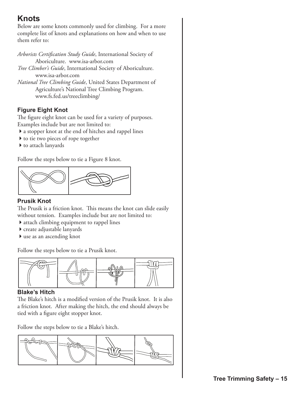## **Knots**

Below are some knots commonly used for climbing. For a more complete list of knots and explanations on how and when to use them refer to:

*Arborists Certification Study Guide*, International Society of Aboriculture. www.isa-arbor.com *Tree Climber's Guide*, International Society of Aboriculture. www.isa-arbor.com

*National Tree Climbing Guide*, United States Department of Agriculture's National Tree Climbing Program. www.fs.fed.us/treeclimbing/

#### **Figure Eight Knot**

The figure eight knot can be used for a variety of purposes. Examples include but are not limited to:

- 4a stopper knot at the end of hitches and rappel lines
- $\blacktriangleright$  to tie two pieces of rope together
- $\blacktriangleright$  to attach lanyards

Follow the steps below to tie a Figure 8 knot.



#### **Prusik Knot**

The Prusik is a friction knot. This means the knot can slide easily without tension. Examples include but are not limited to:

- $\blacktriangleright$  attach climbing equipment to rappel lines
- 4create adjustable lanyards
- $\blacktriangleright$  use as an ascending knot

Follow the steps below to tie a Prusik knot.



#### **Blake's Hitch**

The Blake's hitch is a modified version of the Prusik knot. It is also a friction knot. After making the hitch, the end should always be tied with a figure eight stopper knot.

Follow the steps below to tie a Blake's hitch.

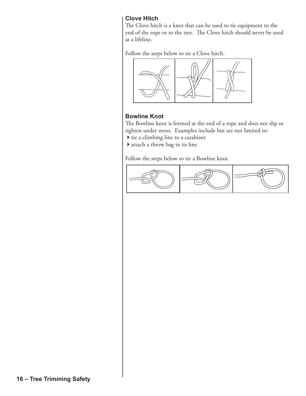#### **Clove Hitch**

The Clove hitch is a knot that can be used to tie equipment to the end of the rope or to the tree. The Clove hitch should never be used as a lifeline.

Follow the steps below to tie a Clove hitch.



#### **Bowline Knot**

The Bowline knot is formed at the end of a rope and does not slip or tighten under stress. Examples include but are not limited to:

- $\blacktriangleright$  tie a climbing line to a carabiner
- $\blacktriangleright$  attach a throw bag to its line

Follow the steps below to tie a Bowline knot.

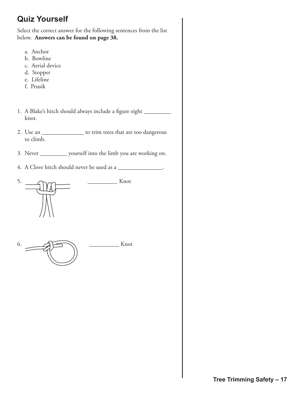## **Quiz Yourself**

Select the correct answer for the following sentences from the list below. **Answers can be found on page 38.**

- a. Anchor
- b. Bowline
- c. Aerial device
- d. Stopper
- e. Lifeline
- f. Prusik
- 1. A Blake's hitch should always include a figure eight \_ knot.
- 2. Use an \_\_\_\_\_\_\_\_\_\_\_\_\_\_ to trim trees that are too dangerous to climb.
- 3. Never \_\_\_\_\_\_\_\_\_ yourself into the limb you are working on.
- 4. A Clove hitch should never be used as a



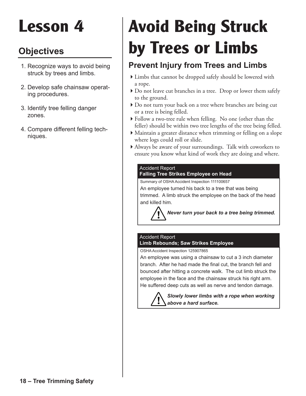## **Objectives**

- 1. Recognize ways to avoid being struck by trees and limbs.
- 2. Develop safe chainsaw operating procedures.
- 3. Identify tree felling danger zones.
- 4. Compare different felling techniques.

## **Avoid Being Struck by Trees or Limbs**

## **Prevent Injury from Trees and Limbs**

- 4Limbs that cannot be dropped safely should be lowered with a rope.
- 4Do not leave cut branches in a tree. Drop or lower them safely to the ground.
- Do not turn your back on a tree where branches are being cut or a tree is being felled.
- 4Follow a two-tree rule when felling. No one (other than the feller) should be within two tree lengths of the tree being felled.
- 4Maintain a greater distance when trimming or felling on a slope where logs could roll or slide.
- 4Always be aware of your surroundings. Talk with coworkers to ensure you know what kind of work they are doing and where.

#### Accident Report **Falling Tree Strikes Employee on Head**

Summary of OSHA Accident Inspection 111100657

An employee turned his back to a tree that was being trimmed. A limb struck the employee on the back of the head and killed him.

*Never turn your back to a tree being trimmed.*

#### Accident Report **Limb Rebounds; Saw Strikes Employee**

OSHA Accident Inspection 125907865

An employee was using a chainsaw to cut a 3 inch diameter branch. After he had made the final cut, the branch fell and bounced after hitting a concrete walk. The cut limb struck the employee in the face and the chainsaw struck his right arm. He suffered deep cuts as well as nerve and tendon damage.

> *Slowly lower limbs with a rope when working above a hard surface.*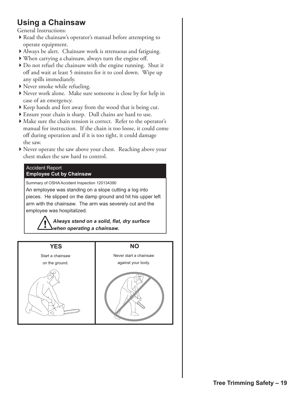## **Using a Chainsaw**

General Instructions:

- ▶ Read the chainsaw's operator's manual before attempting to operate equipment.
- 4Always be alert. Chainsaw work is strenuous and fatiguing.
- 4When carrying a chainsaw, always turn the engine off.
- 4Do not refuel the chainsaw with the engine running. Shut it off and wait at least 5 minutes for it to cool down. Wipe up any spills immediately.
- ▶ Never smoke while refueling.
- 4Never work alone. Make sure someone is close by for help in case of an emergency.
- $\blacktriangleright$  Keep hands and feet away from the wood that is being cut.
- 4Ensure your chain is sharp. Dull chains are hard to use.
- $\blacktriangleright$  Make sure the chain tension is correct. Refer to the operator's manual for instruction. If the chain is too loose, it could come off during operation and if it is too tight, it could damage the saw.
- 4Never operate the saw above your chest. Reaching above your chest makes the saw hard to control.

#### **Accident Report Employee Cut by Chainsaw**

Summary of OSHA Accident Inspection 120134390

An employee was standing on a slope cutting a log into pieces. He slipped on the damp ground and hit his upper left arm with the chainsaw. The arm was severely cut and the employee was hospitalized.

> *Always stand on a solid, flat, dry surface when operating a chainsaw.*

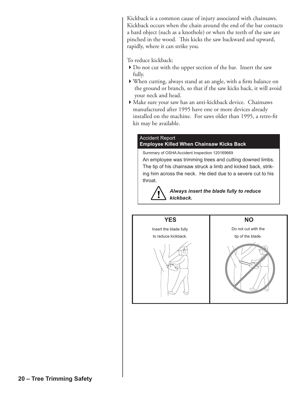Kickback is a common cause of injury associated with chainsaws. Kickback occurs when the chain around the end of the bar contacts a hard object (such as a knothole) or when the teeth of the saw are pinched in the wood. This kicks the saw backward and upward, rapidly, where it can strike you.

#### To reduce kickback:

- ▶ Do not cut with the upper section of the bar. Insert the saw fully.
- 4When cutting, always stand at an angle, with a firm balance on the ground or branch, so that if the saw kicks back, it will avoid your neck and head.
- 4Make sure your saw has an anti-kickback device. Chainsaws manufactured after 1995 have one or more devices already installed on the machine. For saws older than 1995, a retro-fit kit may be available.

#### **Accident Report Employee Killed When Chainsaw Kicks Back**

Summary of OSHA Accident Inspection 120169669 An employee was trimming trees and cutting downed limbs. The tip of his chainsaw struck a limb and kicked back, striking him across the neck. He died due to a severe cut to his throat.

> *Always insert the blade fully to reduce kickback.*

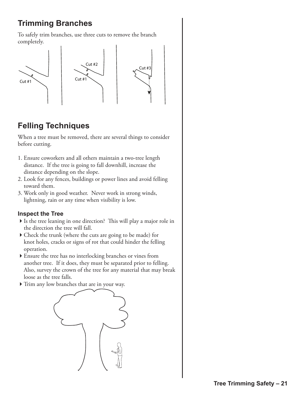## **Trimming Branches**

To safely trim branches, use three cuts to remove the branch completely.



## **Felling Techniques**

When a tree must be removed, there are several things to consider before cutting.

- 1. Ensure coworkers and all others maintain a two-tree length distance. If the tree is going to fall downhill, increase the distance depending on the slope.
- 2. Look for any fences, buildings or power lines and avoid felling toward them.
- 3. Work only in good weather. Never work in strong winds, lightning, rain or any time when visibility is low.

#### **Inspect the Tree**

- If Is the tree leaning in one direction? This will play a major role in the direction the tree will fall.
- 4Check the trunk (where the cuts are going to be made) for knot holes, cracks or signs of rot that could hinder the felling operation.
- 4Ensure the tree has no interlocking branches or vines from another tree. If it does, they must be separated prior to felling. Also, survey the crown of the tree for any material that may break loose as the tree falls.
- $\triangleright$  Trim any low branches that are in your way.

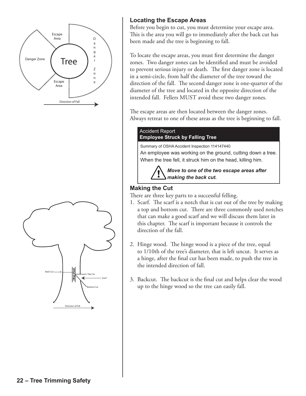



#### **Locating the Escape Areas**

Before you begin to cut, you must determine your escape area. This is the area you will go to immediately after the back cut has been made and the tree is beginning to fall.

To locate the escape areas, you must first determine the danger zones. Two danger zones can be identified and must be avoided to prevent serious injury or death. The first danger zone is located in a semi-circle, from half the diameter of the tree toward the direction of the fall. The second danger zone is one-quarter of the diameter of the tree and located in the opposite direction of the intended fall. Fellers MUST avoid these two danger zones.

The escape areas are then located between the danger zones. Always retreat to one of these areas as the tree is beginning to fall.

#### **Accident Report Employee Struck by Falling Tree**

Summary of OSHA Accident Inspection 114147440

An employee was working on the ground, cutting down a tree. When the tree fell, it struck him on the head, killing him.

> *Move to one of the two escape areas after making the back cut.*

#### **Making the Cut**

There are three key parts to a successful felling.

- 1. Scarf. The scarf is a notch that is cut out of the tree by making a top and bottom cut. There are three commonly used notches that can make a good scarf and we will discuss them later in this chapter. The scarf is important because it controls the direction of the fall.
- 2. Hinge wood. The hinge wood is a piece of the tree, equal to 1/10th of the tree's diameter, that is left uncut. It serves as a hinge, after the final cut has been made, to push the tree in the intended direction of fall.
- 3. Backcut. The backcut is the final cut and helps clear the wood up to the hinge wood so the tree can easily fall.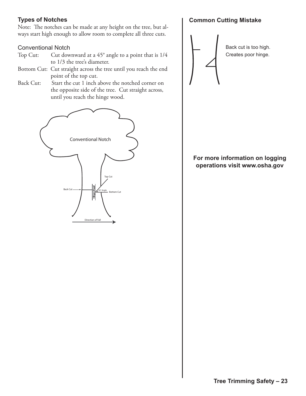#### **Types of Notches**

Note: The notches can be made at any height on the tree, but always start high enough to allow room to complete all three cuts.

#### Conventional Notch

- Top Cut: Cut downward at a 45° angle to a point that is 1/4 to 1/3 the tree's diameter.
- Bottom Cut: Cut straight across the tree until you reach the end point of the top cut.
- Back Cut: Start the cut 1 inch above the notched corner on the opposite side of the tree. Cut straight across, until you reach the hinge wood.



#### **Common Cutting Mistake**



#### For more information on logging operations visit www.osha.gov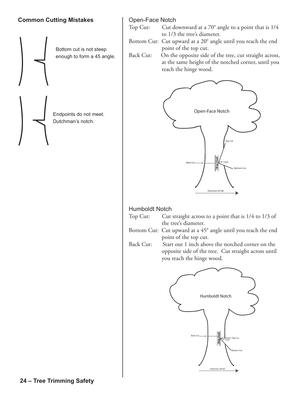#### **Common Cutting Mistakes**



#### Open-Face Notch

Top Cut: Cut downward at a 70° angle to a point that is 1/4 to 1/3 the tree's diameter.

Bottom Cut: Cut upward at a 20° angle until you reach the end point of the top cut.<br>Back Cut: On the opposite side

On the opposite side of the tree, cut straight across, at the same height of the notched corner, until you reach the hinge wood.



#### Humboldt Notch

| Top Cut: | Cut straight across to a point that is 1/4 to 1/3 of |
|----------|------------------------------------------------------|
|          | the tree's diameter.                                 |

Bottom Cut: Cut upward at a 45° angle until you reach the end point of the top cut.

Back Cut: Start out 1 inch above the notched corner on the opposite side of the tree. Cut straight across until you reach the hinge wood.

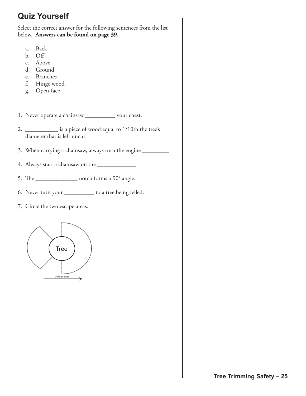## **Quiz Yourself**

Select the correct answer for the following sentences from the list below. **Answers can be found on page 39.**

- a. Back
- b. Off
- c. Above
- d. Ground
- e. Branches
- f. Hinge wood
- g. Open-face
- 1. Never operate a chainsaw \_\_\_\_\_\_\_\_\_\_ your chest.
- 2. \_\_\_\_\_\_\_\_\_\_\_\_\_\_ is a piece of wood equal to 1/10th the tree's diameter that is left uncut.
- 3. When carrying a chainsaw, always turn the engine \_\_\_\_\_\_\_\_\_.
- 4. Always start a chainsaw on the \_\_\_\_\_\_\_\_\_\_\_\_\_\_.
- 5. The \_\_\_\_\_\_\_\_\_\_\_\_\_\_ notch forms a 90° angle.
- 6. Never turn your \_\_\_\_\_\_\_\_\_\_ to a tree being felled.
- 7. Circle the two escape areas.

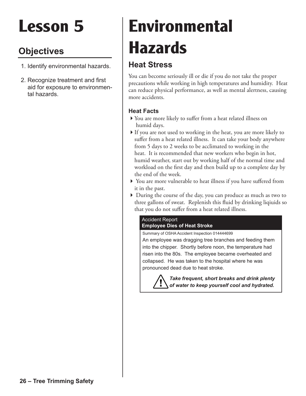## **Objectives**

- 1. Identify environmental hazards.
- 2. Recognize treatment and first aid for exposure to environmental hazards.

## **Environmental Hazards**

## **Heat Stress**

You can become seriously ill or die if you do not take the proper precautions while working in high temperatures and humidity. Heat can reduce physical performance, as well as mental alertness, causing more accidents.

#### **Heat Facts**

- 4You are more likely to suffer from a heat related illness on humid days.
- If you are not used to working in the heat, you are more likely to suffer from a heat related illness. It can take your body anywhere from 5 days to 2 weeks to be acclimated to working in the heat. It is recommended that new workers who begin in hot, humid weather, start out by working half of the normal time and workload on the first day and then build up to a complete day by the end of the week.
- 4 You are more vulnerable to heat illness if you have suffered from it in the past.
- 4 During the course of the day, you can produce as much as two to three gallons of sweat. Replenish this fluid by drinking liqiuids so that you do not suffer from a heat related illness.

#### Accident Report **Employee Dies of Heat Stroke**

Summary of OSHA Accident Inspection 014444699

An employee was dragging tree branches and feeding them into the chipper. Shortly before noon, the temperature had risen into the 80s. The employee became overheated and collapsed. He was taken to the hospital where he was pronounced dead due to heat stroke.

> *Take frequent, short breaks and drink plenty of water to keep yourself cool and hydrated.*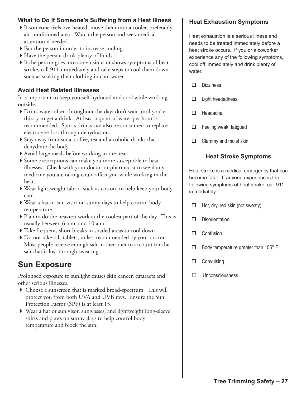#### **What to Do If Someone's Suffering from a Heat Illness**

- 4If someone feels overheated, move them into a cooler, preferably air conditioned area. Watch the person and seek medical attention if needed.
- $\triangleright$  Fan the person in order to increase cooling.
- ▶ Have the person drink plenty of fluids.
- $\blacktriangleright$  If the person goes into convulsions or shows symptoms of heat stroke, call 911 immediately and take steps to cool them down such as soaking their clothing in cool water.

#### **Avoid Heat Related Illnesses**

It is important to keep yourself hydrated and cool while working outside.

- 4Drink water often throughout the day; don't wait until you're thirsty to get a drink. At least a quart of water per hour is recommended. Sports drinks can also be consumed to replace electrolytes lost through dehydration.
- 4Stay away from soda, coffee, tea and alcoholic drinks that dehydrate the body.
- 4Avoid large meals before working in the heat.
- 4Some prescriptions can make you more susceptible to heat illnesses. Check with your doctor or pharmacist to see if any medicine you are taking could affect you while working in the heat.
- 4Wear light-weight fabric, such as cotton, to help keep your body cool.
- 4Wear a hat or sun visor on sunny days to help control body temperature.
- $\blacktriangleright$  Plan to do the heaviest work at the coolest part of the day. This is usually between 6 a.m. and 10 a.m.
- Take frequent, short breaks in shaded areas to cool down.
- ▶ Do not take salt tablets, unless recommended by your doctor. Most people receive enough salt in their diet to account for the salt that is lost through sweating.

### **Sun Exposure**

Prolonged exposure to sunlight causes skin cancer, cataracts and other serious illnesses.

- 4 Choose a sunscreen that is marked broad-spectrum. This will protect you from both UVA and UVB rays. Ensure the Sun Protection Factor (SPF) is at least 15.
- 4 Wear a hat or sun visor, sunglasses, and lightweight long-sleeve shirts and pants on sunny days to help control body temperature and block the sun.

#### **Heat Exhaustion Symptoms**

Heat exhaustion is a serious illness and needs to be treated immediately before a heat stroke occurs. If you or a coworker experience any of the following symptoms, cool off immediately and drink plenty of water.

- $\square$  Dizziness
- $\square$  Light headedness
- $\Box$  Headache
- $\Box$  Feeling weak, fatigued
- $\Box$  Clammy and moist skin

#### **Heat Stroke Symptoms**

Heat stroke is a medical emergency that can become fatal. If anyone experiences the following symptoms of heat stroke, call 911 immediately.

- $\Box$  Hot, dry, red skin (not sweaty)
- $\square$  Disorientation
- $\square$  Confusion
- $\Box$  Body temperature greater than 105° F
- $\square$  Convulsing
- $\Box$  Unconsciousness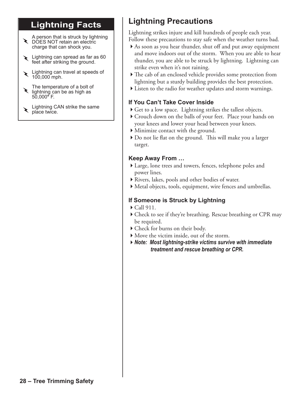## **Lightning Facts**

A person that is struck by lightning ▶ DOES NOT retain an electric charge that can shock you.

- Lightning can spread as far as 60 feet after striking the ground. ~
- Lightning can travel at speeds of 100,000 mph. ~
- The temperature of a bolt of lightning can be as high as 50,000**°** F. ~

Lightning CAN strike the same  $\sum$  place twice.

## **Lightning Precautions**

Lightning strikes injure and kill hundreds of people each year. Follow these precautions to stay safe when the weather turns bad.

- 4As soon as you hear thunder, shut off and put away equipment and move indoors out of the storm. When you are able to hear thunder, you are able to be struck by lightning. Lightning can strike even when it's not raining.
- $\blacktriangleright$  The cab of an enclosed vehicle provides some protection from lightning but a sturdy building provides the best protection.
- 4Listen to the radio for weather updates and storm warnings.

#### **If You Can't Take Cover Inside**

- ▶ Get to a low space. Lightning strikes the tallest objects.
- 4Crouch down on the balls of your feet. Place your hands on your knees and lower your head between your knees.
- 4Minimize contact with the ground.
- 4Do not lie flat on the ground. This will make you a larger target.

#### **Keep Away From …**

- 4Large, lone trees and towers, fences, telephone poles and power lines.
- ▶ Rivers, lakes, pools and other bodies of water.
- 4Metal objects, tools, equipment, wire fences and umbrellas.

#### **If Someone is Struck by Lightning**

- $\blacktriangleright$  Call 911.
- 4Check to see if they're breathing. Rescue breathing or CPR may be required.
- 4Check for burns on their body.
- $\blacktriangleright$  Move the victim inside, out of the storm.
- 4*Note: Most lightning-strike victims survive with immediate treatment and rescue breathing or CPR.*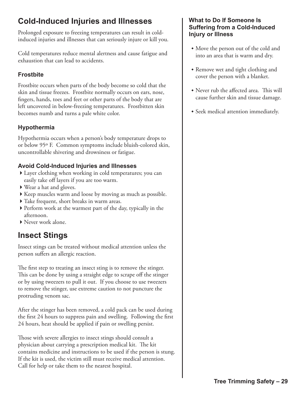## **Cold-Induced Injuries and Illnesses**

Prolonged exposure to freezing temperatures can result in coldinduced injuries and illnesses that can seriously injure or kill you.

Cold temperatures reduce mental alertness and cause fatigue and exhaustion that can lead to accidents.

#### **Frostbite**

Frostbite occurs when parts of the body become so cold that the skin and tissue freezes. Frostbite normally occurs on ears, nose, fingers, hands, toes and feet or other parts of the body that are left uncovered in below-freezing temperatures. Frostbitten skin becomes numb and turns a pale white color.

#### **Hypothermia**

Hypothermia occurs when a person's body temperature drops to or below 95º F. Common symptoms include bluish-colored skin, uncontrollable shivering and drowsiness or fatigue.

#### **Avoid Cold-Induced Injuries and Illnesses**

- ▶ Layer clothing when working in cold temperatures; you can easily take off layers if you are too warm.
- ▶ Wear a hat and gloves.
- ▶ Keep muscles warm and loose by moving as much as possible.
- $\blacktriangleright$  Take frequent, short breaks in warm areas.
- 4Perform work at the warmest part of the day, typically in the afternoon.
- 4Never work alone.

## **Insect Stings**

Insect stings can be treated without medical attention unless the person suffers an allergic reaction.

The first step to treating an insect sting is to remove the stinger. This can be done by using a straight edge to scrape off the stinger or by using tweezers to pull it out. If you choose to use tweezers to remove the stinger, use extreme caution to not puncture the protruding venom sac.

After the stinger has been removed, a cold pack can be used during the first 24 hours to suppress pain and swelling. Following the first 24 hours, heat should be applied if pain or swelling persist.

Those with severe allergies to insect stings should consult a physician about carrying a prescription medical kit. The kit contains medicine and instructions to be used if the person is stung. If the kit is used, the victim still must receive medical attention. Call for help or take them to the nearest hospital.

#### **What to Do If Someone Is Suffering from a Cold-Induced Injury or Illness**

- Move the person out of the cold and into an area that is warm and dry.
- Remove wet and tight clothing and cover the person with a blanket.
- Never rub the affected area. This will cause further skin and tissue damage.
- Seek medical attention immediately.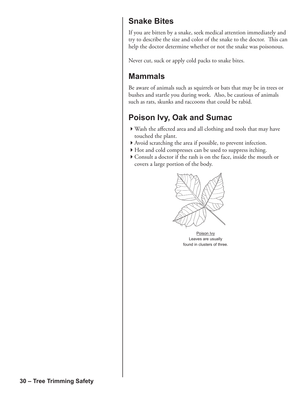### **Snake Bites**

If you are bitten by a snake, seek medical attention immediately and try to describe the size and color of the snake to the doctor. This can help the doctor determine whether or not the snake was poisonous.

Never cut, suck or apply cold packs to snake bites.

## **Mammals**

Be aware of animals such as squirrels or bats that may be in trees or bushes and startle you during work. Also, be cautious of animals such as rats, skunks and raccoons that could be rabid.

## **Poison Ivy, Oak and Sumac**

- 4Wash the affected area and all clothing and tools that may have touched the plant.
- 4Avoid scratching the area if possible, to prevent infection.
- 4Hot and cold compresses can be used to suppress itching.
- 4Consult a doctor if the rash is on the face, inside the mouth or covers a large portion of the body.



Poison Ivy Leaves are usually found in clusters of three.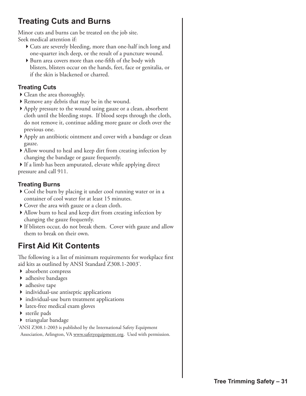## **Treating Cuts and Burns**

Minor cuts and burns can be treated on the job site. Seek medical attention if:

- 4Cuts are severely bleeding, more than one-half inch long and one-quarter inch deep, or the result of a puncture wound.
- $\triangleright$  Burn area covers more than one-fifth of the body with blisters, blisters occur on the hands, feet, face or genitalia, or if the skin is blackened or charred.

#### **Treating Cuts**

- ▶ Clean the area thoroughly.
- ▶ Remove any debris that may be in the wound.
- 4Apply pressure to the wound using gauze or a clean, absorbent cloth until the bleeding stops. If blood seeps through the cloth, do not remove it, continue adding more gauze or cloth over the previous one.
- 4Apply an antibiotic ointment and cover with a bandage or clean gauze.
- Allow wound to heal and keep dirt from creating infection by changing the bandage or gauze frequently.

 $\blacktriangleright$  If a limb has been amputated, elevate while applying direct pressure and call 911.

#### **Treating Burns**

- Cool the burn by placing it under cool running water or in a container of cool water for at least 15 minutes.
- $\triangleright$  Cover the area with gauze or a clean cloth.
- Allow burn to heal and keep dirt from creating infection by changing the gauze frequently.
- If blisters occur, do not break them. Cover with gauze and allow them to break on their own.

## **First Aid Kit Contents**

The following is a list of minimum requirements for workplace first aid kits as outlined by ANSI Standard Z308.1-2003\* .

- ▶ absorbent compress
- $\blacktriangleright$  adhesive bandages
- $\blacktriangleright$  adhesive tape
- $\triangleright$  individual-use antiseptic applications
- 4 individual-use burn treatment applications
- ▶ latex-free medical exam gloves
- $\triangleright$  sterile pads
- ▶ triangular bandage

\* ANSI Z308.1-2003 is published by the International Safety Equipment Association, Arlington, VA www.safetyequipment.org. Used with permission.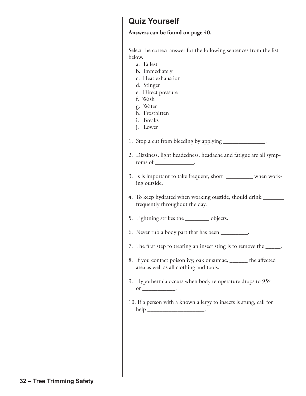### **Quiz Yourself**

#### **Answers can be found on page 40.**

Select the correct answer for the following sentences from the list below.

- a. Tallest
- b. Immediately
- c. Heat exhaustion
- d. Stinger
- e. Direct pressure
- f. Wash
- g. Water
- h. Frostbitten
- i. Breaks
- j. Lower

1. Stop a cut from bleeding by applying

- 2. Dizziness, light headedness, headache and fatigue are all symp toms of \_
- 3. Is is important to take frequent, short \_\_\_\_\_\_\_\_\_ when work ing outside.
- 4. To keep hydrated when working oustide, should drink \_\_\_\_\_\_\_ frequently throughout the day.
- 5. Lightning strikes the \_\_\_\_\_\_\_\_ objects.
- 6. Never rub a body part that has been \_\_\_\_\_\_\_\_\_.
- 7. The first step to treating an insect sting is to remove the \_\_\_\_\_.
- 8. If you contact poison ivy, oak or sumac, \_\_\_\_\_\_ the affected area as well as all clothing and tools.
- 9. Hypothermia occurs when body temperature drops to 95º  $or$   $\overline{\phantom{a}}$
- 10. If a person with a known allergy to insects is stung, call for help  $\_$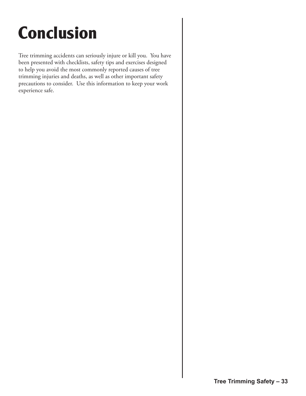## **Conclusion**

Tree trimming accidents can seriously injure or kill you. You have been presented with checklists, safety tips and exercises designed to help you avoid the most commonly reported causes of tree trimming injuries and deaths, as well as other important safety precautions to consider. Use this information to keep your work experience safe.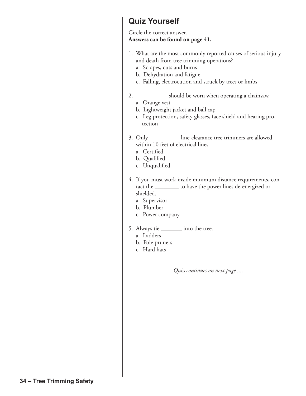### **Quiz Yourself**

#### Circle the correct answer. **Answers can be found on page 41.**

- 1. What are the most commonly reported causes of serious injury and death from tree trimming operations?
	- a. Scrapes, cuts and burns
	- b. Dehydration and fatigue
	- c. Falling, electrocution and struck by trees or limbs
- 2. \_\_\_\_\_\_\_\_\_\_ should be worn when operating a chainsaw.
	- a. Orange vest
	- b. Lightweight jacket and ball cap
	- c. Leg protection, safety glasses, face shield and hearing pro tection
- 3. Only \_\_\_\_\_\_\_\_\_\_ line-clearance tree trimmers are allowed within 10 feet of electrical lines.
	- a. Certified
	- b. Qualified
	- c. Unqualified
- 4. If you must work inside minimum distance requirements, con tact the \_\_\_\_\_\_\_\_ to have the power lines de-energized or shielded.
	- a. Supervisor
	- b. Plumber
	- c. Power company
- 5. Always tie \_\_\_\_\_\_\_ into the tree.
	- a. Ladders
	- b. Pole pruners
	- c. Hard hats

*Quiz continues on next page.....*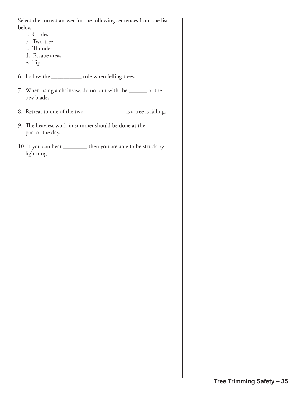Select the correct answer for the following sentences from the list below.

- a. Coolest
- b. Two-tree
- c. Thunder
- d. Escape areas
- e. Tip
- 6. Follow the \_\_\_\_\_\_\_\_\_\_ rule when felling trees.
- 7. When using a chainsaw, do not cut with the \_\_\_\_\_\_ of the saw blade.
- 8. Retreat to one of the two \_\_\_\_\_\_\_\_\_\_\_\_\_\_\_\_\_ as a tree is falling.
- 9. The heaviest work in summer should be done at the \_\_\_\_\_\_\_\_\_\_\_\_\_\_\_\_\_\_\_\_\_\_\_\_\_\_\_ part of the day.
- 10. If you can hear \_\_\_\_\_\_\_\_ then you are able to be struck by lightning.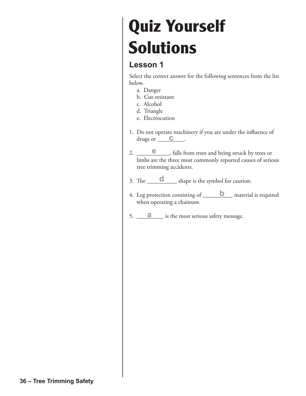## **Quiz Yourself Solutions**

## **Lesson 1**

Select the correct answer for the following sentences from the list below.

- a. Danger
- b. Cut-resistant
- c. Alcohol
- d. Triangle
- e. Electrocution
- 1. Do not operate machinery if you are under the influence of drugs or <u>C</u>.
- 2.  $\qquad \qquad \bullet$  , falls from trees and being struck by trees or limbs are the three most commonly reported causes of serious tree trimming accidents.
- 3. The  $\frac{d}{d}$  shape is the symbol for caution.
- 4. Leg protection consisting of **b** material is required when operating a chainsaw.
- 5. **a** is the most serious safety message.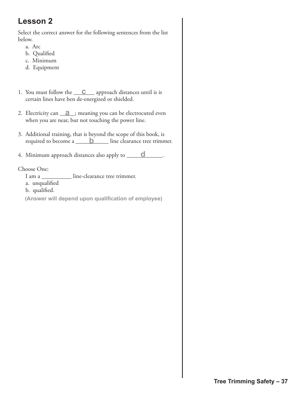Select the correct answer for the following sentences from the list below.

- a. Arc
- b. Qualified
- c. Minimum
- d. Equipment
- 1. You must follow the <u>C</u> approach distances until is is certain lines have ben de-energized or shielded.
- 2. Electricity can **a** ; meaning you can be electrocuted even when you are near, but not touching the power line.
- 3. Additional training, that is beyond the scope of this book, is required to become a **b** line clearance tree trimmer.
- 4. Minimum approach distances also apply to \_\_\_\_\_\_\_\_\_\_\_\_. **d**

#### Choose One:

- I am a \_\_\_\_\_\_\_\_\_\_ line-clearance tree trimmer.
- a. unqualified
- b. qualified.
- (**Answer will depend upon qualification of employee)**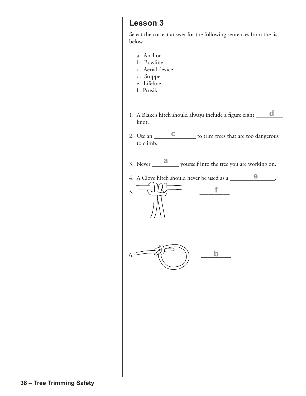Select the correct answer for the following sentences from the list below.

- a. Anchor
- b. Bowline
- c. Aerial device
- d. Stopper
- e. Lifeline
- f. Prusik
- 1. A Blake's hitch should always include a figure eight \_\_\_\_\_\_\_\_\_ knot. **d**
- 2. Use an <u>C</u> to trim trees that are too dangerous to climb.
- 3. Never \_\_\_\_\_\_\_\_\_ yourself into the tree you are working on. **a**
- 4. A Clove hitch should never be used as a **e**

**f**



 $5.$   $\frac{1}{2}$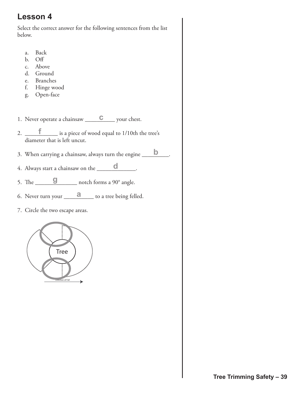Select the correct answer for the following sentences from the list below.

- a. Back
- b. Off
- c. Above
- d. Ground
- e. Branches
- f. Hinge wood
- g. Open-face
- 1. Never operate a chainsaw <u>C</u> your chest.
- 2. \_\_\_\_\_\_\_\_\_\_\_ is a piece of wood equal to 1/10th the tree's **f** diameter that is left uncut.
- 3. When carrying a chainsaw, always turn the engine  $\Box$
- 4. Always start a chainsaw on the  $\Box$
- 5. The  $\Box$  **g** notch forms a 90° angle.
- 6. Never turn your \_\_\_\_\_\_\_\_\_\_ to a tree being felled. **a**
- 7. Circle the two escape areas.

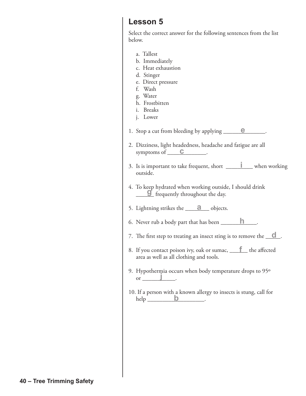Select the correct answer for the following sentences from the list below.

- a. Tallest
- b. Immediately
- c. Heat exhaustion
- d. Stinger
- e. Direct pressure
- f. Wash
- g. Water
- h. Frostbitten
- i. Breaks
- j. Lower

1. Stop a cut from bleeding by applying \_\_\_\_\_\_\_\_\_\_\_\_\_\_. **e**

- 2. Dizziness, light headedness, headache and fatigue are all symptoms of  $\qquad \qquad \mathbf{C}$ .
- 3. Is is important to take frequent, short  $\Box$  when working outside. **i**
- 4. To keep hydrated when working outside, I should drink <sup>1</sup>/<sub>2</sub> fo Reep hydrated when working outside
- 5. Lightning strikes the  $\overline{a}$  objects.
- 6. Never rub a body part that has been  $\_\_$ **h**
- 7. The first step to treating an insect sting is to remove the **d**.
- 8. If you contact poison ivy, oak or sumac, <u>f</u> the affected area as well as all clothing and tools.
- 9. Hypothermia occurs when body temperature drops to 95º **j** or  $\Box$
- 10. If a person with a known allergy to insects is stung, call for  $help$   $b$ . **b**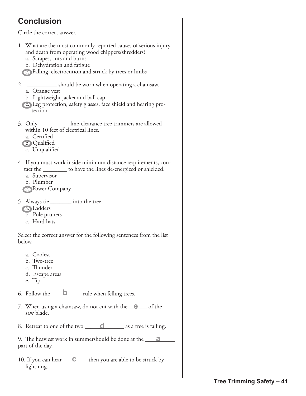## **Conclusion**

Circle the correct answer.

- 1. What are the most commonly reported causes of serious injury and death from operating wood chippers/shredders?
	- a. Scrapes, cuts and burns
	- b. Dehydration and fatigue
	- c. Falling, electrocution and struck by trees or limbs
- 2. \_\_\_\_\_\_\_\_\_\_ should be worn when operating a chainsaw.
	- a. Orange vest
	- b. Lightweight jacket and ball cap
	- c. Leg protection, safety glasses, face shield and hearing pro tection
- 3. Only \_\_\_\_\_\_\_\_\_\_ line-clearance tree trimmers are allowed within 10 feet of electrical lines.
	- a. Certified
	- b. Qualified
	- c. Unqualified
- 4. If you must work inside minimum distance requirements, con tact the \_\_\_\_\_\_\_\_ to have the lines de-energized or shielded.
	- a. Supervisor
	- b. Plumber
	- c. Power Company
- 5. Always tie into the tree.
	- a. Ladders
	- b. Pole pruners
	- c. Hard hats

Select the correct answer for the following sentences from the list below.

- a. Coolest
- b. Two-tree
- c. Thunder
- d. Escape areas
- e. Tip
- 6. Follow the  $\qquad \qquad b \qquad$  rule when felling trees.
- 7. When using a chainsaw, do not cut with the <u>e</u> of the saw blade.
- 8. Retreat to one of the two **d** as a tree is falling.

9. The heaviest work in summershould be done at the \_\_\_\_\_\_\_\_\_\_ **a** part of the day.

10. If you can hear <u>C</u> then you are able to be struck by lightning.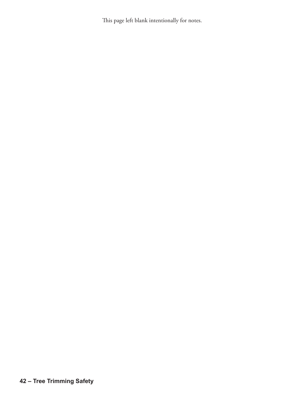This page left blank intentionally for notes.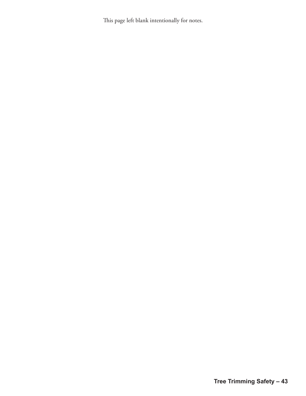This page left blank intentionally for notes.